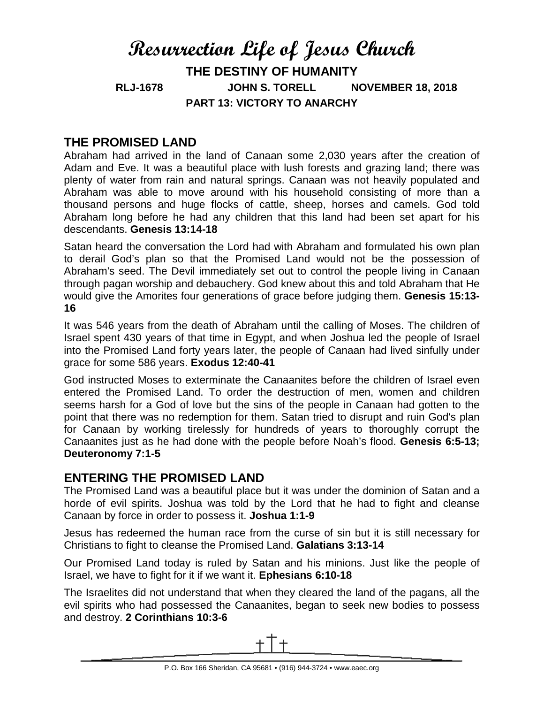# **Resurrection Life of Jesus Church THE DESTINY OF HUMANITY RLJ-1678 JOHN S. TORELL NOVEMBER 18, 2018 PART 13: VICTORY TO ANARCHY**

# **THE PROMISED LAND**

Abraham had arrived in the land of Canaan some 2,030 years after the creation of Adam and Eve. It was a beautiful place with lush forests and grazing land; there was plenty of water from rain and natural springs. Canaan was not heavily populated and Abraham was able to move around with his household consisting of more than a thousand persons and huge flocks of cattle, sheep, horses and camels. God told Abraham long before he had any children that this land had been set apart for his descendants. **Genesis 13:14-18**

Satan heard the conversation the Lord had with Abraham and formulated his own plan to derail God's plan so that the Promised Land would not be the possession of Abraham's seed. The Devil immediately set out to control the people living in Canaan through pagan worship and debauchery. God knew about this and told Abraham that He would give the Amorites four generations of grace before judging them. **Genesis 15:13- 16**

It was 546 years from the death of Abraham until the calling of Moses. The children of Israel spent 430 years of that time in Egypt, and when Joshua led the people of Israel into the Promised Land forty years later, the people of Canaan had lived sinfully under grace for some 586 years. **Exodus 12:40-41**

God instructed Moses to exterminate the Canaanites before the children of Israel even entered the Promised Land. To order the destruction of men, women and children seems harsh for a God of love but the sins of the people in Canaan had gotten to the point that there was no redemption for them. Satan tried to disrupt and ruin God's plan for Canaan by working tirelessly for hundreds of years to thoroughly corrupt the Canaanites just as he had done with the people before Noah's flood. **Genesis 6:5-13; Deuteronomy 7:1-5**

# **ENTERING THE PROMISED LAND**

The Promised Land was a beautiful place but it was under the dominion of Satan and a horde of evil spirits. Joshua was told by the Lord that he had to fight and cleanse Canaan by force in order to possess it. **Joshua 1:1-9**

Jesus has redeemed the human race from the curse of sin but it is still necessary for Christians to fight to cleanse the Promised Land. **Galatians 3:13-14**

Our Promised Land today is ruled by Satan and his minions. Just like the people of Israel, we have to fight for it if we want it. **Ephesians 6:10-18**

The Israelites did not understand that when they cleared the land of the pagans, all the evil spirits who had possessed the Canaanites, began to seek new bodies to possess and destroy. **2 Corinthians 10:3-6**

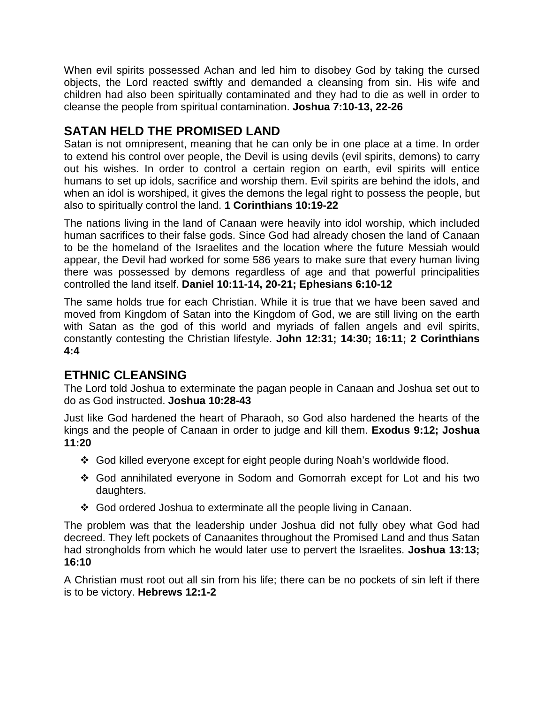When evil spirits possessed Achan and led him to disobey God by taking the cursed objects, the Lord reacted swiftly and demanded a cleansing from sin. His wife and children had also been spiritually contaminated and they had to die as well in order to cleanse the people from spiritual contamination. **Joshua 7:10-13, 22-26**

# **SATAN HELD THE PROMISED LAND**

Satan is not omnipresent, meaning that he can only be in one place at a time. In order to extend his control over people, the Devil is using devils (evil spirits, demons) to carry out his wishes. In order to control a certain region on earth, evil spirits will entice humans to set up idols, sacrifice and worship them. Evil spirits are behind the idols, and when an idol is worshiped, it gives the demons the legal right to possess the people, but also to spiritually control the land. **1 Corinthians 10:19-22**

The nations living in the land of Canaan were heavily into idol worship, which included human sacrifices to their false gods. Since God had already chosen the land of Canaan to be the homeland of the Israelites and the location where the future Messiah would appear, the Devil had worked for some 586 years to make sure that every human living there was possessed by demons regardless of age and that powerful principalities controlled the land itself. **Daniel 10:11-14, 20-21; Ephesians 6:10-12**

The same holds true for each Christian. While it is true that we have been saved and moved from Kingdom of Satan into the Kingdom of God, we are still living on the earth with Satan as the god of this world and myriads of fallen angels and evil spirits, constantly contesting the Christian lifestyle. **John 12:31; 14:30; 16:11; 2 Corinthians 4:4**

# **ETHNIC CLEANSING**

The Lord told Joshua to exterminate the pagan people in Canaan and Joshua set out to do as God instructed. **Joshua 10:28-43**

Just like God hardened the heart of Pharaoh, so God also hardened the hearts of the kings and the people of Canaan in order to judge and kill them. **Exodus 9:12; Joshua 11:20**

- God killed everyone except for eight people during Noah's worldwide flood.
- God annihilated everyone in Sodom and Gomorrah except for Lot and his two daughters.
- God ordered Joshua to exterminate all the people living in Canaan.

The problem was that the leadership under Joshua did not fully obey what God had decreed. They left pockets of Canaanites throughout the Promised Land and thus Satan had strongholds from which he would later use to pervert the Israelites. **Joshua 13:13; 16:10**

A Christian must root out all sin from his life; there can be no pockets of sin left if there is to be victory. **Hebrews 12:1-2**